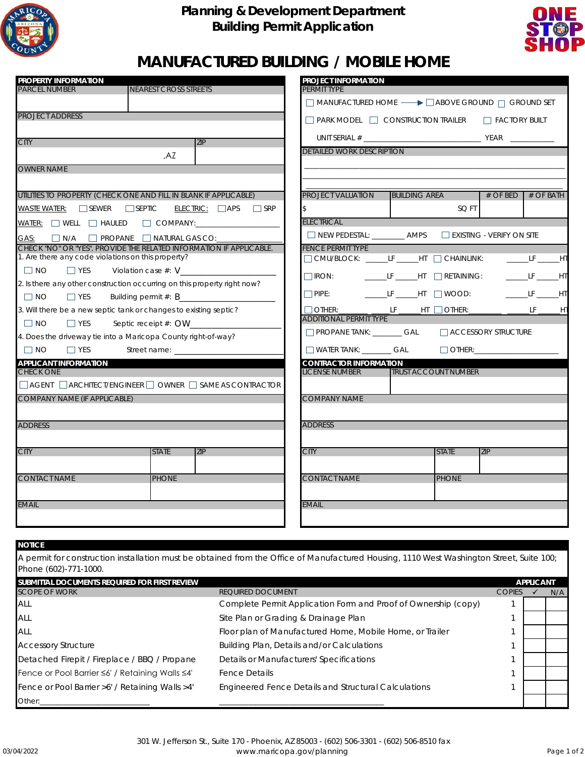

### **Planning & Development Department Building Permit Application**



# **MANUFACTURED BUILDING / MOBILE HOME**

| <b>PROPERTY INFORMATION</b>                                                              |                                                                                                                                                                                                                                |                               | PROJECT INFORMATION                                                                                   |                             |              |                     |                         |
|------------------------------------------------------------------------------------------|--------------------------------------------------------------------------------------------------------------------------------------------------------------------------------------------------------------------------------|-------------------------------|-------------------------------------------------------------------------------------------------------|-----------------------------|--------------|---------------------|-------------------------|
| <b>PARCEL NUMBER</b>                                                                     | <b>NEAREST CROSS STREETS</b>                                                                                                                                                                                                   |                               | PERMIT TYPE                                                                                           |                             |              |                     |                         |
|                                                                                          |                                                                                                                                                                                                                                |                               | $\Box$ MANUFACTURED HOME $\longrightarrow$ $\Box$ ABOVE GROUND $\Box$ GROUND SET                      |                             |              |                     |                         |
| <b>PROJECT ADDRESS</b>                                                                   |                                                                                                                                                                                                                                |                               | □ PARK MODEL □ CONSTRUCTION TRAILER □ FACTORY BUILT                                                   |                             |              |                     |                         |
| <b>CITY</b>                                                                              | ZIP                                                                                                                                                                                                                            |                               |                                                                                                       |                             |              |                     |                         |
|                                                                                          | .AZ                                                                                                                                                                                                                            |                               | <b>DETAILED WORK DESCRIPTION</b>                                                                      |                             |              |                     |                         |
| <b>OWNER NAME</b>                                                                        |                                                                                                                                                                                                                                |                               |                                                                                                       |                             |              |                     |                         |
|                                                                                          |                                                                                                                                                                                                                                |                               |                                                                                                       |                             |              |                     |                         |
| UTILITIES TO PROPERTY (CHECK ONE AND FILL IN BLANK IF APPLICABLE)                        |                                                                                                                                                                                                                                |                               | <b>PROJECT VALUATION</b>                                                                              | <b>BUILDING AREA</b>        |              |                     | $\#$ OF BED $#$ OF BATH |
| WASTE WATER: SEWER SEPTIC                                                                |                                                                                                                                                                                                                                | $ELECTRIC: \Box APS \Box SRP$ |                                                                                                       |                             | SQ FT        |                     |                         |
| WATER: WELL HAULED COMPANY: __________________                                           |                                                                                                                                                                                                                                |                               | <b>ELECTRICAL</b>                                                                                     |                             |              |                     |                         |
| GAS:                                                                                     | $\Box$ N/A $\Box$ PROPANE $\Box$ NATURAL GAS CO:                                                                                                                                                                               |                               | NEW PEDESTAL: __________ AMPS NEXISTING - VERIFY ON SITE                                              |                             |              |                     |                         |
| CHECK "NO" OR "YES". PROVIDE THE RELATED INFORMATION IF APPLICABLE.                      |                                                                                                                                                                                                                                |                               | <b>FENCE PERMIT TYPE</b>                                                                              |                             |              |                     |                         |
| 1. Are there any code violations on this property?                                       |                                                                                                                                                                                                                                |                               | □ CMU/BLOCK: ______LF ______HT □ CHAINLINK: __________LF ______HT                                     |                             |              |                     |                         |
| $\Box$ NO<br>$\Box$ YES                                                                  | Violation case $#: V$                                                                                                                                                                                                          |                               | $\Box$ IRON: ___________LF _______HT $\Box$ RETAINING:                                                |                             |              |                     | ________LF _______HT    |
| 2. Is there any other construction occurring on this property right now?                 |                                                                                                                                                                                                                                |                               | □ PIPE: _________LF _______HT _ _] WOOD: ____________LF _______HT                                     |                             |              |                     |                         |
| $\Box$ NO<br>$\Box$ YES                                                                  | Building permit $#: B$                                                                                                                                                                                                         |                               |                                                                                                       |                             |              |                     |                         |
| 3. Will there be a new septic tank or changes to existing septic?<br>$\Box$ NO           |                                                                                                                                                                                                                                |                               | □ OTHER:_______ _____LF ______HT □ OTHER:_________ ______LF ______H1<br><b>ADDITIONAL PERMIT TYPE</b> |                             |              |                     |                         |
| $\Box$ YES                                                                               | Septic receipt $#:$ OW                                                                                                                                                                                                         |                               | PROPANE TANK: ________ GAL                                                                            |                             |              | ACCESSORY STRUCTURE |                         |
| 4. Does the driveway tie into a Maricopa County right-of-way?<br>$\Box$ NO<br>$\Box$ YES | Street name: The state of the state of the state of the state of the state of the state of the state of the state of the state of the state of the state of the state of the state of the state of the state of the state of t |                               | WATER TANK: _________ GAL                                                                             |                             |              | $\Box$ OTHER:       |                         |
| <b>APPLICANT INFORMATION</b>                                                             |                                                                                                                                                                                                                                |                               | <b>CONTRACTOR INFORMATION</b>                                                                         |                             |              |                     |                         |
| <b>CHECK ONE</b>                                                                         |                                                                                                                                                                                                                                |                               | <b>LICENSE NUMBER</b>                                                                                 | <b>TRUST ACCOUNT NUMBER</b> |              |                     |                         |
| $\Box$ AGENT $\Box$ ARCHITECT/ENGINEER $\Box$ OWNER $\Box$ SAME AS CONTRACTOR            |                                                                                                                                                                                                                                |                               |                                                                                                       |                             |              |                     |                         |
| <b>COMPANY NAME (IF APPLICABLE)</b>                                                      |                                                                                                                                                                                                                                |                               | <b>COMPANY NAME</b>                                                                                   |                             |              |                     |                         |
|                                                                                          |                                                                                                                                                                                                                                |                               |                                                                                                       |                             |              |                     |                         |
| <b>ADDRESS</b>                                                                           |                                                                                                                                                                                                                                |                               | <b>ADDRESS</b>                                                                                        |                             |              |                     |                         |
|                                                                                          |                                                                                                                                                                                                                                |                               |                                                                                                       |                             |              |                     |                         |
| <b>CITY</b>                                                                              | <b>STATE</b><br><b>ZIP</b>                                                                                                                                                                                                     |                               | <b>CITY</b>                                                                                           |                             | <b>STATE</b> | <b>ZIP</b>          |                         |
|                                                                                          |                                                                                                                                                                                                                                |                               |                                                                                                       |                             |              |                     |                         |
| <b>CONTACT NAME</b>                                                                      | <b>PHONE</b>                                                                                                                                                                                                                   |                               | <b>CONTACT NAME</b>                                                                                   |                             | <b>PHONE</b> |                     |                         |
|                                                                                          |                                                                                                                                                                                                                                |                               |                                                                                                       |                             |              |                     |                         |
| <b>EMAIL</b>                                                                             |                                                                                                                                                                                                                                |                               | <b>EMAIL</b>                                                                                          |                             |              |                     |                         |
|                                                                                          |                                                                                                                                                                                                                                |                               |                                                                                                       |                             |              |                     |                         |

#### **SUBMITTAL DOCUMENTS REQUIRED FOR FIRST REVIEW APPLICANT**  $\checkmark$  N/A ALL **Complete Permit Application Form and Proof of Ownership (copy)** 1 ALL **ALL CONFIDENT ALL SITE Plan or Grading & Drainage Plan** 1 1 1 1 1 Fence or Pool Barrier >6' / Retaining Walls >4' Engineered Fence Details and Structural Calculations 1 Other:\_\_\_\_\_\_\_\_\_\_\_\_\_\_\_\_\_\_\_\_\_\_\_\_\_\_\_\_\_\_ \_\_\_\_\_\_\_\_\_\_\_\_\_\_\_\_\_\_\_\_\_\_\_\_\_\_\_\_\_\_\_\_\_\_\_\_\_\_\_\_\_\_\_\_\_ Fence or Pool Barrier ≤6' / Retaining Walls ≤4' Fence Details Detached Firepit / Fireplace / BBQ / Propane Details or Manufacturers' Specifications Accessory Structure **Building Plan, Details and/or Calculations** Building Plan, Details and/or Calculations A permit for construction installation must be obtained from the Office of Manufactured Housing, 1110 West Washington Street, Suite 100; Phone (602)-771-1000. ALL **Floor plan of Manufactured Home, Mobile Home**, or Trailer SCOPE OF WORK COPIES AND THE REQUIRED DOCUMENT THE REQUIRED TO A REQUIRED BOOK COPIES **NOTICE**